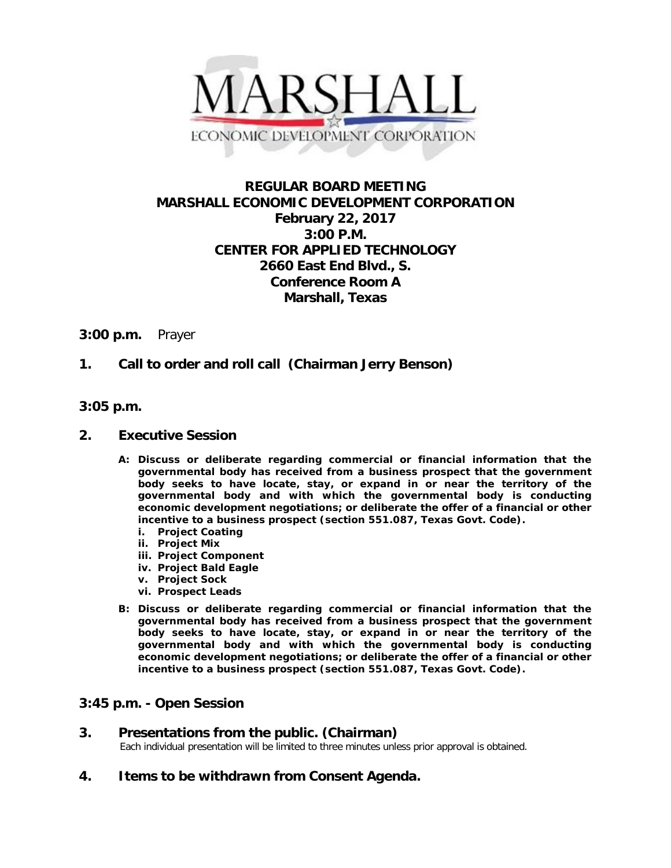

# **REGULAR BOARD MEETING MARSHALL ECONOMIC DEVELOPMENT CORPORATION February 22, 2017 3:00 P.M. CENTER FOR APPLIED TECHNOLOGY 2660 East End Blvd., S. Conference Room A Marshall, Texas**

### **3:00 p.m.** Prayer

## **1. Call to order and roll call (Chairman Jerry Benson)**

### **3:05 p.m.**

#### **2. Executive Session**

- **A: Discuss or deliberate regarding commercial or financial information that the governmental body has received from a business prospect that the government body seeks to have locate, stay, or expand in or near the territory of the governmental body and with which the governmental body is conducting economic development negotiations; or deliberate the offer of a financial or other incentive to a business prospect (section 551.087, Texas Govt. Code).**
	- **i. Project Coating**
	- **ii. Project Mix**
	- **iii. Project Component**
	- **iv. Project Bald Eagle**
	- **v. Project Sock**
	- **vi. Prospect Leads**
- **B: Discuss or deliberate regarding commercial or financial information that the governmental body has received from a business prospect that the government body seeks to have locate, stay, or expand in or near the territory of the governmental body and with which the governmental body is conducting economic development negotiations; or deliberate the offer of a financial or other incentive to a business prospect (section 551.087, Texas Govt. Code).**

## **3:45 p.m. - Open Session**

**3. Presentations from the public. (Chairman)**<br>Each individual presentation will be limited to three minutes unless prior approval is obtained.

**4. Items to be withdrawn from Consent Agenda.**